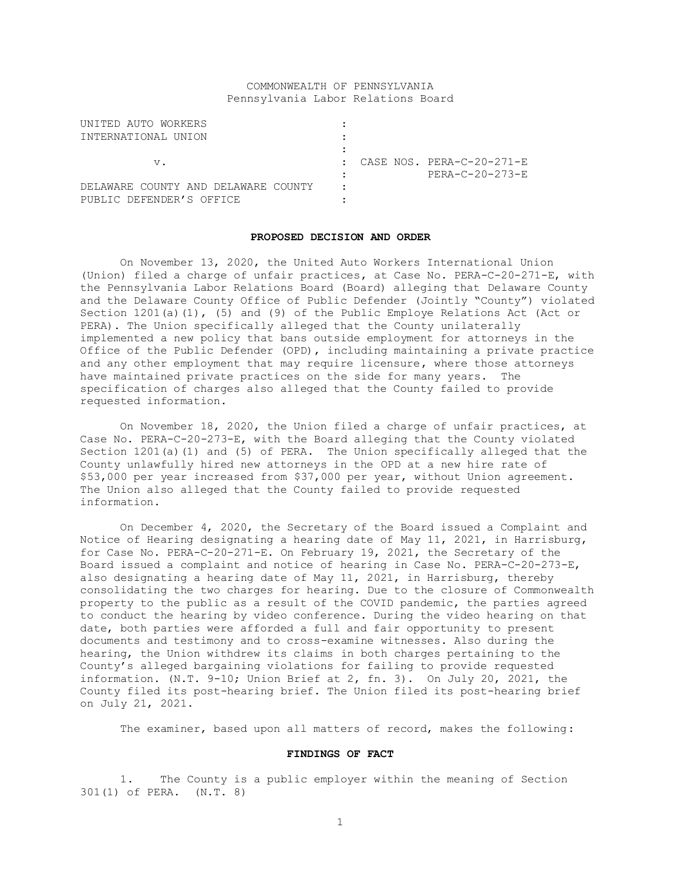# COMMONWEALTH OF PENNSYLVANIA Pennsylvania Labor Relations Board

| UNITED AUTO WORKERS                 |   |                                        |
|-------------------------------------|---|----------------------------------------|
| INTERNATIONAL UNION                 |   |                                        |
|                                     |   |                                        |
| $V$ .                               |   | $\therefore$ CASE NOS. PERA-C-20-271-E |
|                                     |   | PERA-C-20-273-E                        |
| DELAWARE COUNTY AND DELAWARE COUNTY | ٠ |                                        |
| PUBLIC DEFENDER'S OFFICE            |   |                                        |

#### **PROPOSED DECISION AND ORDER**

On November 13, 2020, the United Auto Workers International Union (Union) filed a charge of unfair practices, at Case No. PERA-C-20-271-E, with the Pennsylvania Labor Relations Board (Board) alleging that Delaware County and the Delaware County Office of Public Defender (Jointly "County") violated Section 1201(a)(1), (5) and (9) of the Public Employe Relations Act (Act or PERA). The Union specifically alleged that the County unilaterally implemented a new policy that bans outside employment for attorneys in the Office of the Public Defender (OPD), including maintaining a private practice and any other employment that may require licensure, where those attorneys have maintained private practices on the side for many years. The specification of charges also alleged that the County failed to provide requested information.

On November 18, 2020, the Union filed a charge of unfair practices, at Case No. PERA-C-20-273-E, with the Board alleging that the County violated Section 1201(a)(1) and (5) of PERA. The Union specifically alleged that the County unlawfully hired new attorneys in the OPD at a new hire rate of \$53,000 per year increased from \$37,000 per year, without Union agreement. The Union also alleged that the County failed to provide requested information.

On December 4, 2020, the Secretary of the Board issued a Complaint and Notice of Hearing designating a hearing date of May 11, 2021, in Harrisburg, for Case No. PERA-C-20-271-E. On February 19, 2021, the Secretary of the Board issued a complaint and notice of hearing in Case No. PERA-C-20-273-E, also designating a hearing date of May 11, 2021, in Harrisburg, thereby consolidating the two charges for hearing. Due to the closure of Commonwealth property to the public as a result of the COVID pandemic, the parties agreed to conduct the hearing by video conference. During the video hearing on that date, both parties were afforded a full and fair opportunity to present documents and testimony and to cross-examine witnesses. Also during the hearing, the Union withdrew its claims in both charges pertaining to the County's alleged bargaining violations for failing to provide requested information. (N.T. 9-10; Union Brief at 2, fn. 3). On July 20, 2021, the County filed its post-hearing brief. The Union filed its post-hearing brief on July 21, 2021.

The examiner, based upon all matters of record, makes the following:

### **FINDINGS OF FACT**

1. The County is a public employer within the meaning of Section 301(1) of PERA. (N.T. 8)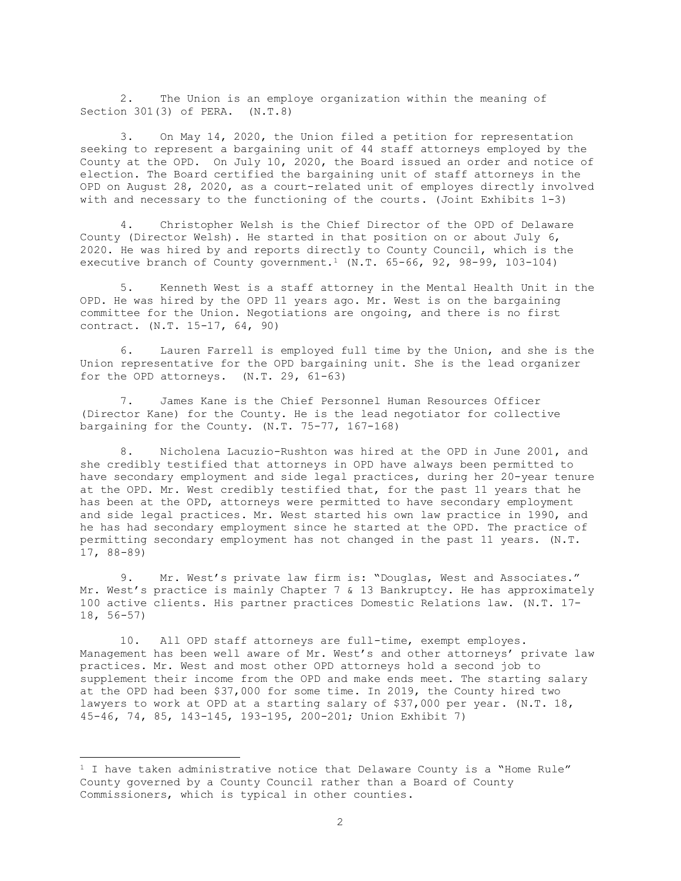2. The Union is an employe organization within the meaning of Section 301(3) of PERA. (N.T.8)

3. On May 14, 2020, the Union filed a petition for representation seeking to represent a bargaining unit of 44 staff attorneys employed by the County at the OPD. On July 10, 2020, the Board issued an order and notice of election. The Board certified the bargaining unit of staff attorneys in the OPD on August 28, 2020, as a court-related unit of employes directly involved with and necessary to the functioning of the courts. (Joint Exhibits 1-3)

4. Christopher Welsh is the Chief Director of the OPD of Delaware County (Director Welsh). He started in that position on or about July 6, 2020. He was hired by and reports directly to County Council, which is the executive branch of County government.<sup>1</sup> (N.T.  $65-66$ , 92, 98-99, 103-104)

5. Kenneth West is a staff attorney in the Mental Health Unit in the OPD. He was hired by the OPD 11 years ago. Mr. West is on the bargaining committee for the Union. Negotiations are ongoing, and there is no first contract. (N.T. 15-17, 64, 90)

6. Lauren Farrell is employed full time by the Union, and she is the Union representative for the OPD bargaining unit. She is the lead organizer for the OPD attorneys. (N.T. 29, 61-63)

7. James Kane is the Chief Personnel Human Resources Officer (Director Kane) for the County. He is the lead negotiator for collective bargaining for the County. (N.T. 75-77, 167-168)

8. Nicholena Lacuzio-Rushton was hired at the OPD in June 2001, and she credibly testified that attorneys in OPD have always been permitted to have secondary employment and side legal practices, during her 20-year tenure at the OPD. Mr. West credibly testified that, for the past 11 years that he has been at the OPD, attorneys were permitted to have secondary employment and side legal practices. Mr. West started his own law practice in 1990, and he has had secondary employment since he started at the OPD. The practice of permitting secondary employment has not changed in the past 11 years. (N.T. 17, 88-89)

9. Mr. West's private law firm is: "Douglas, West and Associates." Mr. West's practice is mainly Chapter 7 & 13 Bankruptcy. He has approximately 100 active clients. His partner practices Domestic Relations law. (N.T. 17- 18, 56-57)

10. All OPD staff attorneys are full-time, exempt employes. Management has been well aware of Mr. West's and other attorneys' private law practices. Mr. West and most other OPD attorneys hold a second job to supplement their income from the OPD and make ends meet. The starting salary at the OPD had been \$37,000 for some time. In 2019, the County hired two lawyers to work at OPD at a starting salary of \$37,000 per year. (N.T. 18, 45-46, 74, 85, 143-145, 193-195, 200-201; Union Exhibit 7)

 $1$  I have taken administrative notice that Delaware County is a "Home Rule" County governed by a County Council rather than a Board of County Commissioners, which is typical in other counties.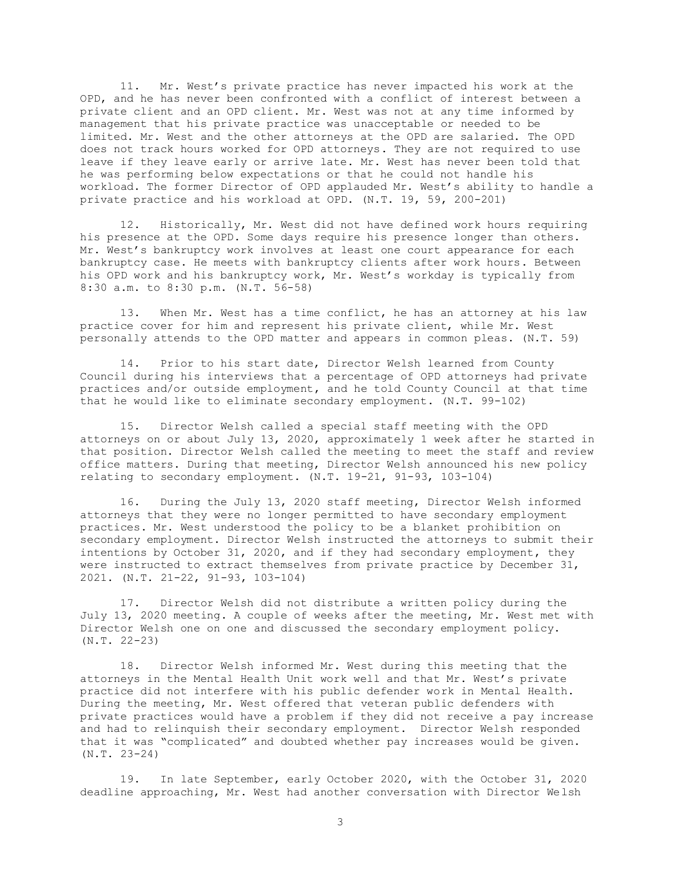11. Mr. West's private practice has never impacted his work at the OPD, and he has never been confronted with a conflict of interest between a private client and an OPD client. Mr. West was not at any time informed by management that his private practice was unacceptable or needed to be limited. Mr. West and the other attorneys at the OPD are salaried. The OPD does not track hours worked for OPD attorneys. They are not required to use leave if they leave early or arrive late. Mr. West has never been told that he was performing below expectations or that he could not handle his workload. The former Director of OPD applauded Mr. West's ability to handle a private practice and his workload at OPD. (N.T. 19, 59, 200-201)

12. Historically, Mr. West did not have defined work hours requiring his presence at the OPD. Some days require his presence longer than others. Mr. West's bankruptcy work involves at least one court appearance for each bankruptcy case. He meets with bankruptcy clients after work hours. Between his OPD work and his bankruptcy work, Mr. West's workday is typically from 8:30 a.m. to 8:30 p.m. (N.T. 56-58)

13. When Mr. West has a time conflict, he has an attorney at his law practice cover for him and represent his private client, while Mr. West personally attends to the OPD matter and appears in common pleas. (N.T. 59)

14. Prior to his start date, Director Welsh learned from County Council during his interviews that a percentage of OPD attorneys had private practices and/or outside employment, and he told County Council at that time that he would like to eliminate secondary employment. (N.T. 99-102)

15. Director Welsh called a special staff meeting with the OPD attorneys on or about July 13, 2020, approximately 1 week after he started in that position. Director Welsh called the meeting to meet the staff and review office matters. During that meeting, Director Welsh announced his new policy relating to secondary employment. (N.T. 19-21, 91-93, 103-104)

16. During the July 13, 2020 staff meeting, Director Welsh informed attorneys that they were no longer permitted to have secondary employment practices. Mr. West understood the policy to be a blanket prohibition on secondary employment. Director Welsh instructed the attorneys to submit their intentions by October 31, 2020, and if they had secondary employment, they were instructed to extract themselves from private practice by December 31, 2021. (N.T. 21-22, 91-93, 103-104)

17. Director Welsh did not distribute a written policy during the July 13, 2020 meeting. A couple of weeks after the meeting, Mr. West met with Director Welsh one on one and discussed the secondary employment policy. (N.T. 22-23)

18. Director Welsh informed Mr. West during this meeting that the attorneys in the Mental Health Unit work well and that Mr. West's private practice did not interfere with his public defender work in Mental Health. During the meeting, Mr. West offered that veteran public defenders with private practices would have a problem if they did not receive a pay increase and had to relinquish their secondary employment. Director Welsh responded that it was "complicated" and doubted whether pay increases would be given. (N.T. 23-24)

19. In late September, early October 2020, with the October 31, 2020 deadline approaching, Mr. West had another conversation with Director Welsh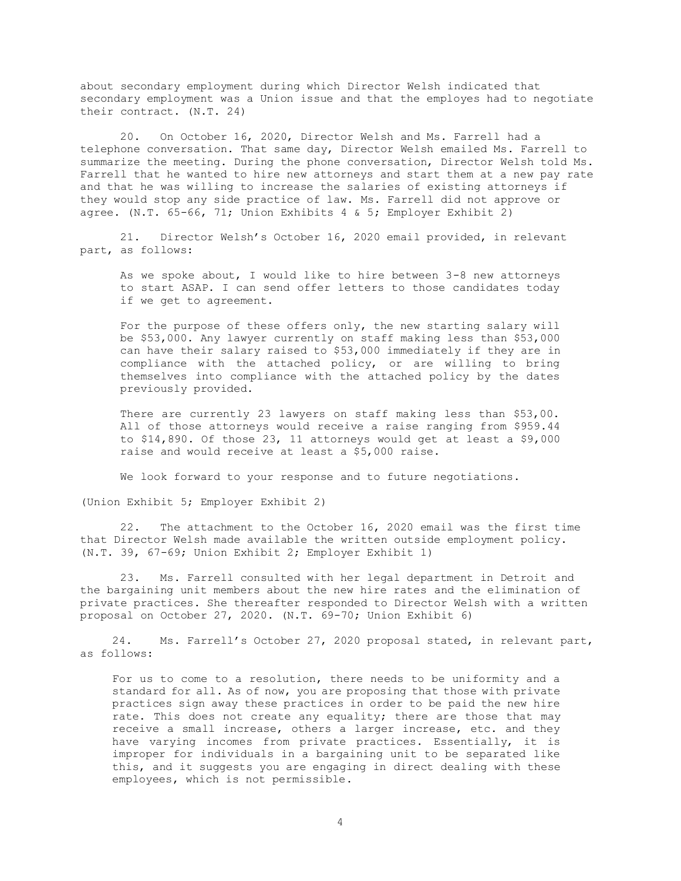about secondary employment during which Director Welsh indicated that secondary employment was a Union issue and that the employes had to negotiate their contract. (N.T. 24)

20. On October 16, 2020, Director Welsh and Ms. Farrell had a telephone conversation. That same day, Director Welsh emailed Ms. Farrell to summarize the meeting. During the phone conversation, Director Welsh told Ms. Farrell that he wanted to hire new attorneys and start them at a new pay rate and that he was willing to increase the salaries of existing attorneys if they would stop any side practice of law. Ms. Farrell did not approve or agree. (N.T.  $65-66$ , 71; Union Exhibits 4 & 5; Employer Exhibit 2)

21. Director Welsh's October 16, 2020 email provided, in relevant part, as follows:

As we spoke about, I would like to hire between 3-8 new attorneys to start ASAP. I can send offer letters to those candidates today if we get to agreement.

For the purpose of these offers only, the new starting salary will be \$53,000. Any lawyer currently on staff making less than \$53,000 can have their salary raised to \$53,000 immediately if they are in compliance with the attached policy, or are willing to bring themselves into compliance with the attached policy by the dates previously provided.

There are currently 23 lawyers on staff making less than \$53,00. All of those attorneys would receive a raise ranging from \$959.44 to \$14,890. Of those 23, 11 attorneys would get at least a \$9,000 raise and would receive at least a \$5,000 raise.

We look forward to your response and to future negotiations.

(Union Exhibit 5; Employer Exhibit 2)

22. The attachment to the October 16, 2020 email was the first time that Director Welsh made available the written outside employment policy. (N.T. 39, 67-69; Union Exhibit 2; Employer Exhibit 1)

23. Ms. Farrell consulted with her legal department in Detroit and the bargaining unit members about the new hire rates and the elimination of private practices. She thereafter responded to Director Welsh with a written proposal on October 27, 2020. (N.T. 69-70; Union Exhibit 6)

24. Ms. Farrell's October 27, 2020 proposal stated, in relevant part, as follows:

For us to come to a resolution, there needs to be uniformity and a standard for all. As of now, you are proposing that those with private practices sign away these practices in order to be paid the new hire rate. This does not create any equality; there are those that may receive a small increase, others a larger increase, etc. and they have varying incomes from private practices. Essentially, it is improper for individuals in a bargaining unit to be separated like this, and it suggests you are engaging in direct dealing with these employees, which is not permissible.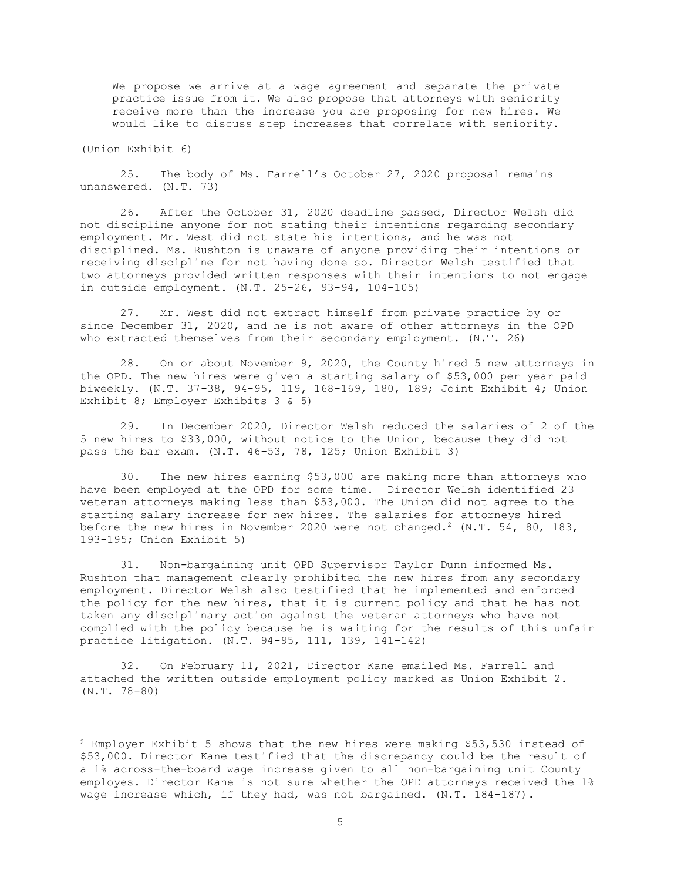We propose we arrive at a wage agreement and separate the private practice issue from it. We also propose that attorneys with seniority receive more than the increase you are proposing for new hires. We would like to discuss step increases that correlate with seniority.

(Union Exhibit 6)

25. The body of Ms. Farrell's October 27, 2020 proposal remains unanswered. (N.T. 73)

26. After the October 31, 2020 deadline passed, Director Welsh did not discipline anyone for not stating their intentions regarding secondary employment. Mr. West did not state his intentions, and he was not disciplined. Ms. Rushton is unaware of anyone providing their intentions or receiving discipline for not having done so. Director Welsh testified that two attorneys provided written responses with their intentions to not engage in outside employment. (N.T. 25-26, 93-94, 104-105)

27. Mr. West did not extract himself from private practice by or since December 31, 2020, and he is not aware of other attorneys in the OPD who extracted themselves from their secondary employment. (N.T. 26)

28. On or about November 9, 2020, the County hired 5 new attorneys in the OPD. The new hires were given a starting salary of \$53,000 per year paid biweekly. (N.T. 37-38, 94-95, 119, 168-169, 180, 189; Joint Exhibit 4; Union Exhibit 8; Employer Exhibits 3 & 5)

29. In December 2020, Director Welsh reduced the salaries of 2 of the 5 new hires to \$33,000, without notice to the Union, because they did not pass the bar exam. (N.T. 46-53, 78, 125; Union Exhibit 3)

30. The new hires earning \$53,000 are making more than attorneys who have been employed at the OPD for some time. Director Welsh identified 23 veteran attorneys making less than \$53,000. The Union did not agree to the starting salary increase for new hires. The salaries for attorneys hired before the new hires in November 2020 were not changed.<sup>2</sup> (N.T. 54, 80, 183, 193-195; Union Exhibit 5)

31. Non-bargaining unit OPD Supervisor Taylor Dunn informed Ms. Rushton that management clearly prohibited the new hires from any secondary employment. Director Welsh also testified that he implemented and enforced the policy for the new hires, that it is current policy and that he has not taken any disciplinary action against the veteran attorneys who have not complied with the policy because he is waiting for the results of this unfair practice litigation. (N.T. 94-95, 111, 139, 141-142)

32. On February 11, 2021, Director Kane emailed Ms. Farrell and attached the written outside employment policy marked as Union Exhibit 2. (N.T. 78-80)

<sup>2</sup> Employer Exhibit 5 shows that the new hires were making \$53,530 instead of \$53,000. Director Kane testified that the discrepancy could be the result of a 1% across-the-board wage increase given to all non-bargaining unit County employes. Director Kane is not sure whether the OPD attorneys received the 1% wage increase which, if they had, was not bargained. (N.T. 184-187).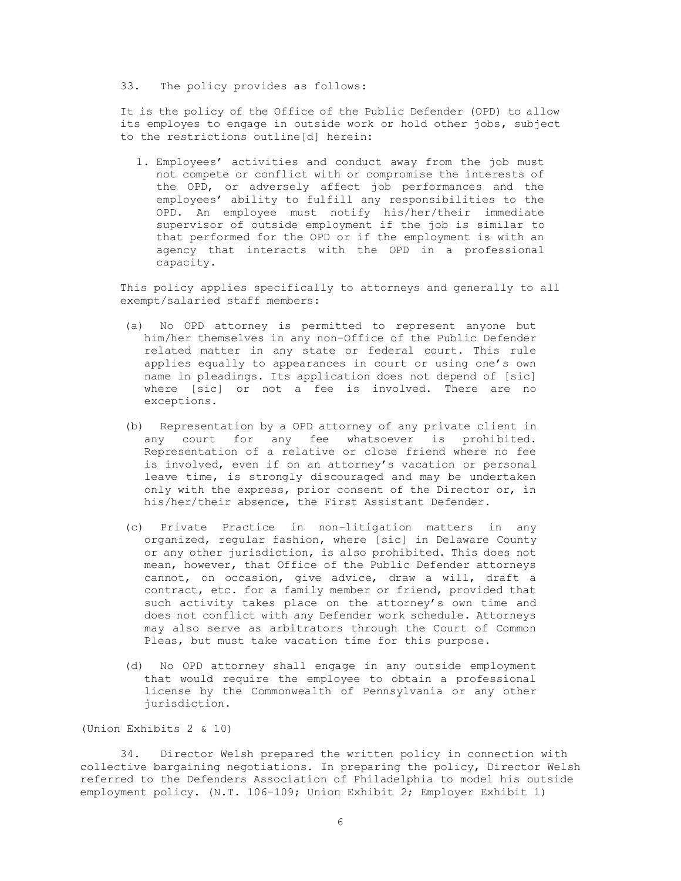# 33. The policy provides as follows:

It is the policy of the Office of the Public Defender (OPD) to allow its employes to engage in outside work or hold other jobs, subject to the restrictions outline[d] herein:

1. Employees' activities and conduct away from the job must not compete or conflict with or compromise the interests of the OPD, or adversely affect job performances and the employees' ability to fulfill any responsibilities to the OPD. An employee must notify his/her/their immediate supervisor of outside employment if the job is similar to that performed for the OPD or if the employment is with an agency that interacts with the OPD in a professional capacity.

This policy applies specifically to attorneys and generally to all exempt/salaried staff members:

- (a) No OPD attorney is permitted to represent anyone but him/her themselves in any non-Office of the Public Defender related matter in any state or federal court. This rule applies equally to appearances in court or using one's own name in pleadings. Its application does not depend of [sic] where [sic] or not a fee is involved. There are no exceptions.
- (b) Representation by a OPD attorney of any private client in any court for any fee whatsoever is prohibited. Representation of a relative or close friend where no fee is involved, even if on an attorney's vacation or personal leave time, is strongly discouraged and may be undertaken only with the express, prior consent of the Director or, in his/her/their absence, the First Assistant Defender.
- (c) Private Practice in non-litigation matters in any organized, regular fashion, where [sic] in Delaware County or any other jurisdiction, is also prohibited. This does not mean, however, that Office of the Public Defender attorneys cannot, on occasion, give advice, draw a will, draft a contract, etc. for a family member or friend, provided that such activity takes place on the attorney's own time and does not conflict with any Defender work schedule. Attorneys may also serve as arbitrators through the Court of Common Pleas, but must take vacation time for this purpose.
- (d) No OPD attorney shall engage in any outside employment that would require the employee to obtain a professional license by the Commonwealth of Pennsylvania or any other jurisdiction.

(Union Exhibits 2 & 10)

34. Director Welsh prepared the written policy in connection with collective bargaining negotiations. In preparing the policy, Director Welsh referred to the Defenders Association of Philadelphia to model his outside employment policy. (N.T. 106-109; Union Exhibit 2; Employer Exhibit 1)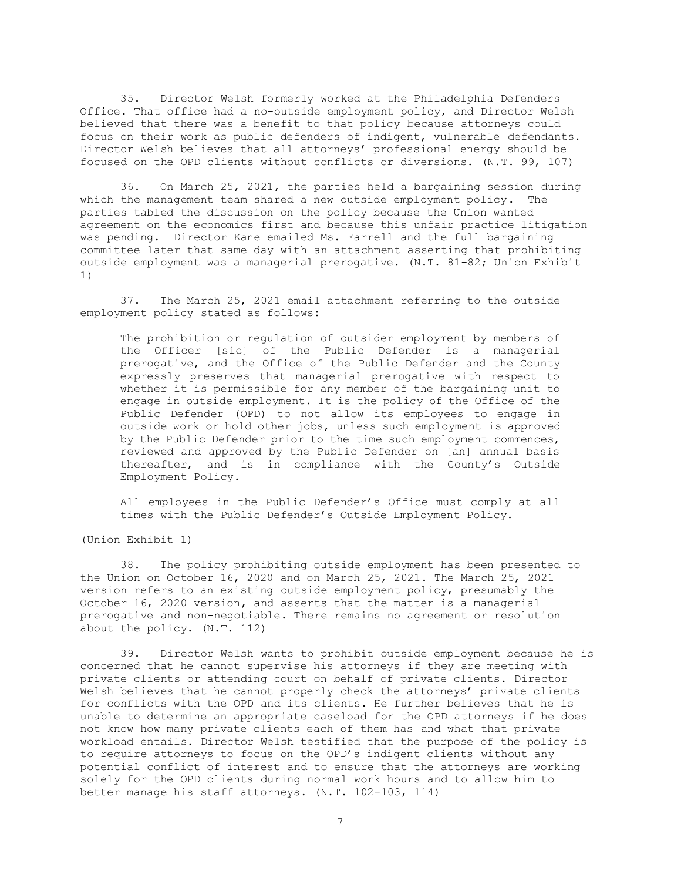35. Director Welsh formerly worked at the Philadelphia Defenders Office. That office had a no-outside employment policy, and Director Welsh believed that there was a benefit to that policy because attorneys could focus on their work as public defenders of indigent, vulnerable defendants. Director Welsh believes that all attorneys' professional energy should be focused on the OPD clients without conflicts or diversions. (N.T. 99, 107)

36. On March 25, 2021, the parties held a bargaining session during which the management team shared a new outside employment policy. The parties tabled the discussion on the policy because the Union wanted agreement on the economics first and because this unfair practice litigation was pending. Director Kane emailed Ms. Farrell and the full bargaining committee later that same day with an attachment asserting that prohibiting outside employment was a managerial prerogative. (N.T. 81-82; Union Exhibit 1)

37. The March 25, 2021 email attachment referring to the outside employment policy stated as follows:

The prohibition or regulation of outsider employment by members of the Officer [sic] of the Public Defender is a managerial prerogative, and the Office of the Public Defender and the County expressly preserves that managerial prerogative with respect to whether it is permissible for any member of the bargaining unit to engage in outside employment. It is the policy of the Office of the Public Defender (OPD) to not allow its employees to engage in outside work or hold other jobs, unless such employment is approved by the Public Defender prior to the time such employment commences, reviewed and approved by the Public Defender on [an] annual basis thereafter, and is in compliance with the County's Outside Employment Policy.

All employees in the Public Defender's Office must comply at all times with the Public Defender's Outside Employment Policy.

(Union Exhibit 1)

38. The policy prohibiting outside employment has been presented to the Union on October 16, 2020 and on March 25, 2021. The March 25, 2021 version refers to an existing outside employment policy, presumably the October 16, 2020 version, and asserts that the matter is a managerial prerogative and non-negotiable. There remains no agreement or resolution about the policy. (N.T. 112)

39. Director Welsh wants to prohibit outside employment because he is concerned that he cannot supervise his attorneys if they are meeting with private clients or attending court on behalf of private clients. Director Welsh believes that he cannot properly check the attorneys' private clients for conflicts with the OPD and its clients. He further believes that he is unable to determine an appropriate caseload for the OPD attorneys if he does not know how many private clients each of them has and what that private workload entails. Director Welsh testified that the purpose of the policy is to require attorneys to focus on the OPD's indigent clients without any potential conflict of interest and to ensure that the attorneys are working solely for the OPD clients during normal work hours and to allow him to better manage his staff attorneys. (N.T. 102-103, 114)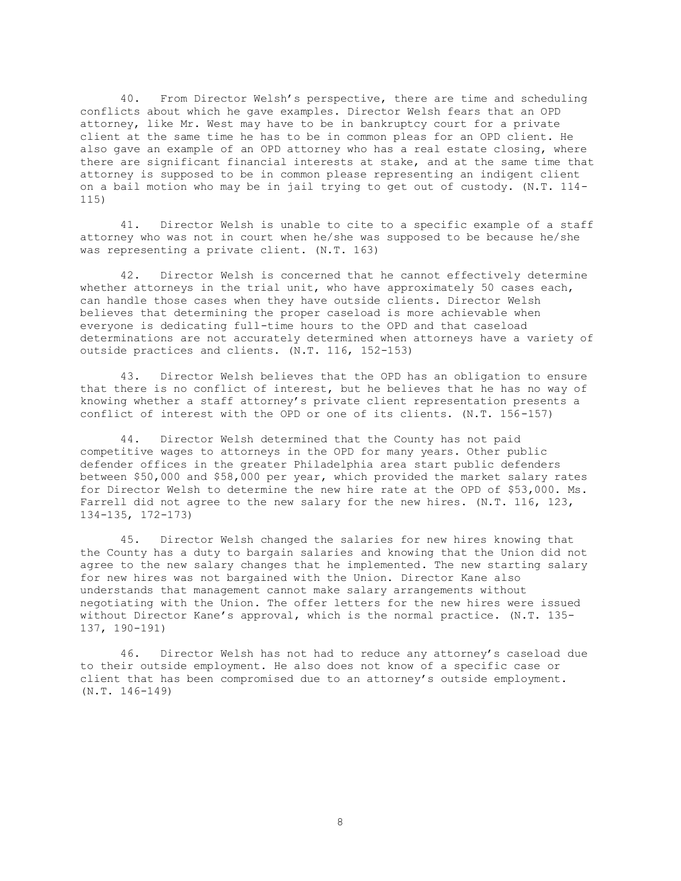40. From Director Welsh's perspective, there are time and scheduling conflicts about which he gave examples. Director Welsh fears that an OPD attorney, like Mr. West may have to be in bankruptcy court for a private client at the same time he has to be in common pleas for an OPD client. He also gave an example of an OPD attorney who has a real estate closing, where there are significant financial interests at stake, and at the same time that attorney is supposed to be in common please representing an indigent client on a bail motion who may be in jail trying to get out of custody. (N.T. 114- 115)

41. Director Welsh is unable to cite to a specific example of a staff attorney who was not in court when he/she was supposed to be because he/she was representing a private client. (N.T. 163)

42. Director Welsh is concerned that he cannot effectively determine whether attorneys in the trial unit, who have approximately 50 cases each, can handle those cases when they have outside clients. Director Welsh believes that determining the proper caseload is more achievable when everyone is dedicating full-time hours to the OPD and that caseload determinations are not accurately determined when attorneys have a variety of outside practices and clients. (N.T. 116, 152-153)

43. Director Welsh believes that the OPD has an obligation to ensure that there is no conflict of interest, but he believes that he has no way of knowing whether a staff attorney's private client representation presents a conflict of interest with the OPD or one of its clients. (N.T. 156-157)

44. Director Welsh determined that the County has not paid competitive wages to attorneys in the OPD for many years. Other public defender offices in the greater Philadelphia area start public defenders between \$50,000 and \$58,000 per year, which provided the market salary rates for Director Welsh to determine the new hire rate at the OPD of \$53,000. Ms. Farrell did not agree to the new salary for the new hires. (N.T. 116, 123, 134-135, 172-173)

45. Director Welsh changed the salaries for new hires knowing that the County has a duty to bargain salaries and knowing that the Union did not agree to the new salary changes that he implemented. The new starting salary for new hires was not bargained with the Union. Director Kane also understands that management cannot make salary arrangements without negotiating with the Union. The offer letters for the new hires were issued without Director Kane's approval, which is the normal practice. (N.T. 135- 137, 190-191)

46. Director Welsh has not had to reduce any attorney's caseload due to their outside employment. He also does not know of a specific case or client that has been compromised due to an attorney's outside employment. (N.T. 146-149)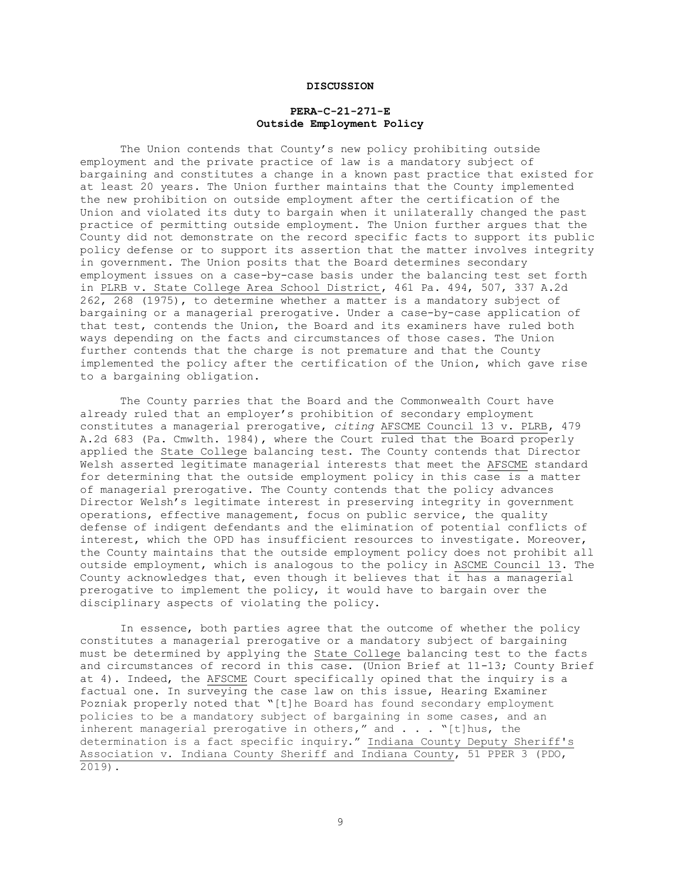## **DISCUSSION**

# **PERA-C-21-271-E Outside Employment Policy**

The Union contends that County's new policy prohibiting outside employment and the private practice of law is a mandatory subject of bargaining and constitutes a change in a known past practice that existed for at least 20 years. The Union further maintains that the County implemented the new prohibition on outside employment after the certification of the Union and violated its duty to bargain when it unilaterally changed the past practice of permitting outside employment. The Union further argues that the County did not demonstrate on the record specific facts to support its public policy defense or to support its assertion that the matter involves integrity in government. The Union posits that the Board determines secondary employment issues on a case-by-case basis under the balancing test set forth in PLRB v. State College Area School District, 461 Pa. 494, 507, 337 A.2d 262, 268 (1975), to determine whether a matter is a mandatory subject of bargaining or a managerial prerogative. Under a case-by-case application of that test, contends the Union, the Board and its examiners have ruled both ways depending on the facts and circumstances of those cases. The Union further contends that the charge is not premature and that the County implemented the policy after the certification of the Union, which gave rise to a bargaining obligation.

The County parries that the Board and the Commonwealth Court have already ruled that an employer's prohibition of secondary employment constitutes a managerial prerogative, *citing* AFSCME Council 13 v. PLRB, 479 A.2d 683 (Pa. Cmwlth. 1984), where the Court ruled that the Board properly applied the State College balancing test. The County contends that Director Welsh asserted legitimate managerial interests that meet the AFSCME standard for determining that the outside employment policy in this case is a matter of managerial prerogative. The County contends that the policy advances Director Welsh's legitimate interest in preserving integrity in government operations, effective management, focus on public service, the quality defense of indigent defendants and the elimination of potential conflicts of interest, which the OPD has insufficient resources to investigate. Moreover, the County maintains that the outside employment policy does not prohibit all outside employment, which is analogous to the policy in ASCME Council 13. The County acknowledges that, even though it believes that it has a managerial prerogative to implement the policy, it would have to bargain over the disciplinary aspects of violating the policy.

In essence, both parties agree that the outcome of whether the policy constitutes a managerial prerogative or a mandatory subject of bargaining must be determined by applying the State College balancing test to the facts and circumstances of record in this case. (Union Brief at 11-13; County Brief at 4). Indeed, the AFSCME Court specifically opined that the inquiry is a factual one. In surveying the case law on this issue, Hearing Examiner Pozniak properly noted that "[t]he Board has found secondary employment policies to be a mandatory subject of bargaining in some cases, and an inherent managerial prerogative in others," and . . . "[t]hus, the determination is a fact specific inquiry." Indiana County Deputy Sheriff's Association v. Indiana County Sheriff and Indiana County, 51 PPER 3 (PDO, 2019).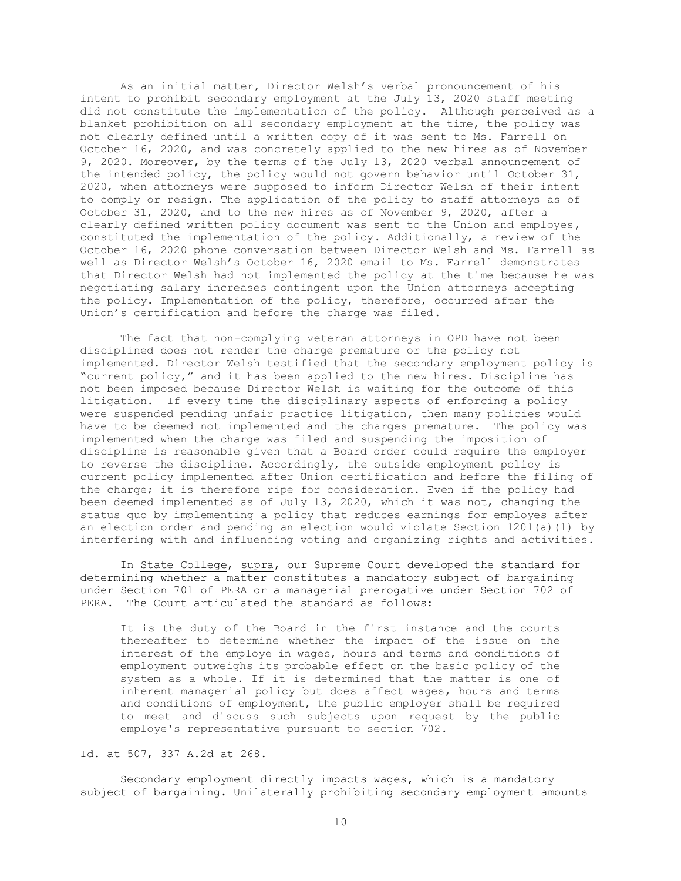As an initial matter, Director Welsh's verbal pronouncement of his intent to prohibit secondary employment at the July 13, 2020 staff meeting did not constitute the implementation of the policy. Although perceived as a blanket prohibition on all secondary employment at the time, the policy was not clearly defined until a written copy of it was sent to Ms. Farrell on October 16, 2020, and was concretely applied to the new hires as of November 9, 2020. Moreover, by the terms of the July 13, 2020 verbal announcement of the intended policy, the policy would not govern behavior until October 31, 2020, when attorneys were supposed to inform Director Welsh of their intent to comply or resign. The application of the policy to staff attorneys as of October 31, 2020, and to the new hires as of November 9, 2020, after a clearly defined written policy document was sent to the Union and employes, constituted the implementation of the policy. Additionally, a review of the October 16, 2020 phone conversation between Director Welsh and Ms. Farrell as well as Director Welsh's October 16, 2020 email to Ms. Farrell demonstrates that Director Welsh had not implemented the policy at the time because he was negotiating salary increases contingent upon the Union attorneys accepting the policy. Implementation of the policy, therefore, occurred after the Union's certification and before the charge was filed.

The fact that non-complying veteran attorneys in OPD have not been disciplined does not render the charge premature or the policy not implemented. Director Welsh testified that the secondary employment policy is "current policy," and it has been applied to the new hires. Discipline has not been imposed because Director Welsh is waiting for the outcome of this litigation. If every time the disciplinary aspects of enforcing a policy were suspended pending unfair practice litigation, then many policies would have to be deemed not implemented and the charges premature. The policy was implemented when the charge was filed and suspending the imposition of discipline is reasonable given that a Board order could require the employer to reverse the discipline. Accordingly, the outside employment policy is current policy implemented after Union certification and before the filing of the charge; it is therefore ripe for consideration. Even if the policy had been deemed implemented as of July 13, 2020, which it was not, changing the status quo by implementing a policy that reduces earnings for employes after an election order and pending an election would violate Section 1201(a)(1) by interfering with and influencing voting and organizing rights and activities.

In State College, supra, our Supreme Court developed the standard for determining whether a matter constitutes a mandatory subject of bargaining under Section 701 of PERA or a managerial prerogative under Section 702 of PERA. The Court articulated the standard as follows:

It is the duty of the Board in the first instance and the courts thereafter to determine whether the impact of the issue on the interest of the employe in wages, hours and terms and conditions of employment outweighs its probable effect on the basic policy of the system as a whole. If it is determined that the matter is one of inherent managerial policy but does affect wages, hours and terms and conditions of employment, the public employer shall be required to meet and discuss such subjects upon request by the public employe's representative pursuant to section 702.

Id. at 507, 337 A.2d at 268.

Secondary employment directly impacts wages, which is a mandatory subject of bargaining. Unilaterally prohibiting secondary employment amounts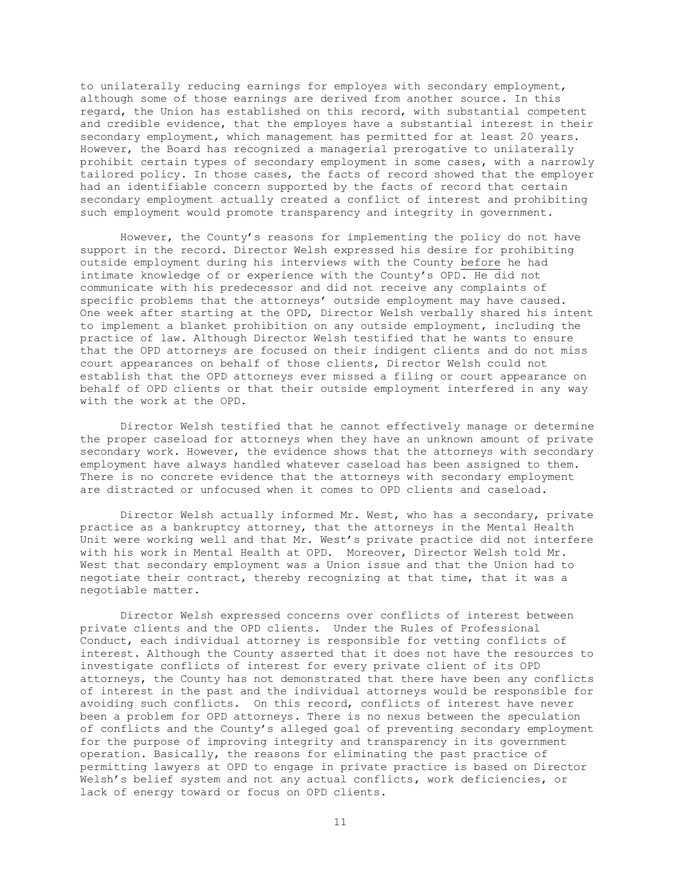to unilaterally reducing earnings for employes with secondary employment, although some of those earnings are derived from another source. In this regard, the Union has established on this record, with substantial competent and credible evidence, that the employes have a substantial interest in their secondary employment, which management has permitted for at least 20 years. However, the Board has recognized a managerial prerogative to unilaterally prohibit certain types of secondary employment in some cases, with a narrowly tailored policy. In those cases, the facts of record showed that the employer had an identifiable concern supported by the facts of record that certain secondary employment actually created a conflict of interest and prohibiting such employment would promote transparency and integrity in government.

However, the County's reasons for implementing the policy do not have support in the record. Director Welsh expressed his desire for prohibiting outside employment during his interviews with the County before he had intimate knowledge of or experience with the County's OPD. He did not communicate with his predecessor and did not receive any complaints of specific problems that the attorneys' outside employment may have caused. One week after starting at the OPD, Director Welsh verbally shared his intent to implement a blanket prohibition on any outside employment, including the practice of law. Although Director Welsh testified that he wants to ensure that the OPD attorneys are focused on their indigent clients and do not miss court appearances on behalf of those clients, Director Welsh could not establish that the OPD attorneys ever missed a filing or court appearance on behalf of OPD clients or that their outside employment interfered in any way with the work at the OPD.

Director Welsh testified that he cannot effectively manage or determine the proper caseload for attorneys when they have an unknown amount of private secondary work. However, the evidence shows that the attorneys with secondary employment have always handled whatever caseload has been assigned to them. There is no concrete evidence that the attorneys with secondary employment are distracted or unfocused when it comes to OPD clients and caseload.

Director Welsh actually informed Mr. West, who has a secondary, private practice as a bankruptcy attorney, that the attorneys in the Mental Health Unit were working well and that Mr. West's private practice did not interfere with his work in Mental Health at OPD. Moreover, Director Welsh told Mr. West that secondary employment was a Union issue and that the Union had to negotiate their contract, thereby recognizing at that time, that it was a negotiable matter.

Director Welsh expressed concerns over conflicts of interest between private clients and the OPD clients. Under the Rules of Professional Conduct, each individual attorney is responsible for vetting conflicts of interest. Although the County asserted that it does not have the resources to investigate conflicts of interest for every private client of its OPD attorneys, the County has not demonstrated that there have been any conflicts of interest in the past and the individual attorneys would be responsible for avoiding such conflicts. On this record, conflicts of interest have never been a problem for OPD attorneys. There is no nexus between the speculation of conflicts and the County's alleged goal of preventing secondary employment for the purpose of improving integrity and transparency in its government operation. Basically, the reasons for eliminating the past practice of permitting lawyers at OPD to engage in private practice is based on Director Welsh's belief system and not any actual conflicts, work deficiencies, or lack of energy toward or focus on OPD clients.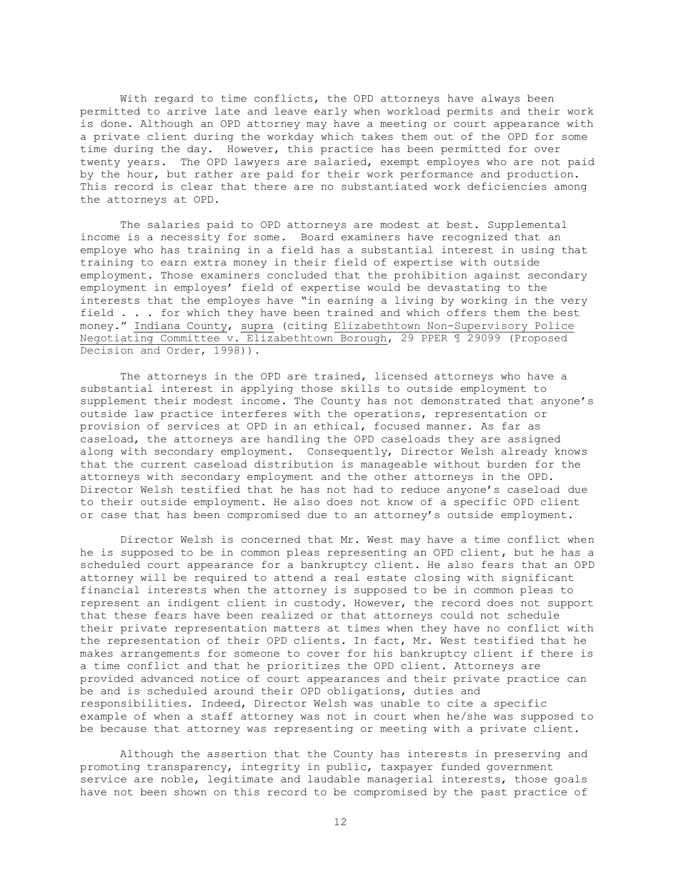With regard to time conflicts, the OPD attorneys have always been permitted to arrive late and leave early when workload permits and their work is done. Although an OPD attorney may have a meeting or court appearance with a private client during the workday which takes them out of the OPD for some time during the day. However, this practice has been permitted for over twenty years. The OPD lawyers are salaried, exempt employes who are not paid by the hour, but rather are paid for their work performance and production. This record is clear that there are no substantiated work deficiencies among the attorneys at OPD.

The salaries paid to OPD attorneys are modest at best. Supplemental income is a necessity for some. Board examiners have recognized that an employe who has training in a field has a substantial interest in using that training to earn extra money in their field of expertise with outside employment. Those examiners concluded that the prohibition against secondary employment in employes' field of expertise would be devastating to the interests that the employes have "in earning a living by working in the very field . . . for which they have been trained and which offers them the best money." Indiana County, supra (citing Elizabethtown Non-Supervisory Police Negotiating Committee v. Elizabethtown Borough, 29 PPER ¶ 29099 (Proposed Decision and Order, 1998)).

The attorneys in the OPD are trained, licensed attorneys who have a substantial interest in applying those skills to outside employment to supplement their modest income. The County has not demonstrated that anyone's outside law practice interferes with the operations, representation or provision of services at OPD in an ethical, focused manner. As far as caseload, the attorneys are handling the OPD caseloads they are assigned along with secondary employment. Consequently, Director Welsh already knows that the current caseload distribution is manageable without burden for the attorneys with secondary employment and the other attorneys in the OPD. Director Welsh testified that he has not had to reduce anyone's caseload due to their outside employment. He also does not know of a specific OPD client or case that has been compromised due to an attorney's outside employment.

Director Welsh is concerned that Mr. West may have a time conflict when he is supposed to be in common pleas representing an OPD client, but he has a scheduled court appearance for a bankruptcy client. He also fears that an OPD attorney will be required to attend a real estate closing with significant financial interests when the attorney is supposed to be in common pleas to represent an indigent client in custody. However, the record does not support that these fears have been realized or that attorneys could not schedule their private representation matters at times when they have no conflict with the representation of their OPD clients. In fact, Mr. West testified that he makes arrangements for someone to cover for his bankruptcy client if there is a time conflict and that he prioritizes the OPD client. Attorneys are provided advanced notice of court appearances and their private practice can be and is scheduled around their OPD obligations, duties and responsibilities. Indeed, Director Welsh was unable to cite a specific example of when a staff attorney was not in court when he/she was supposed to be because that attorney was representing or meeting with a private client.

Although the assertion that the County has interests in preserving and promoting transparency, integrity in public, taxpayer funded government service are noble, legitimate and laudable managerial interests, those goals have not been shown on this record to be compromised by the past practice of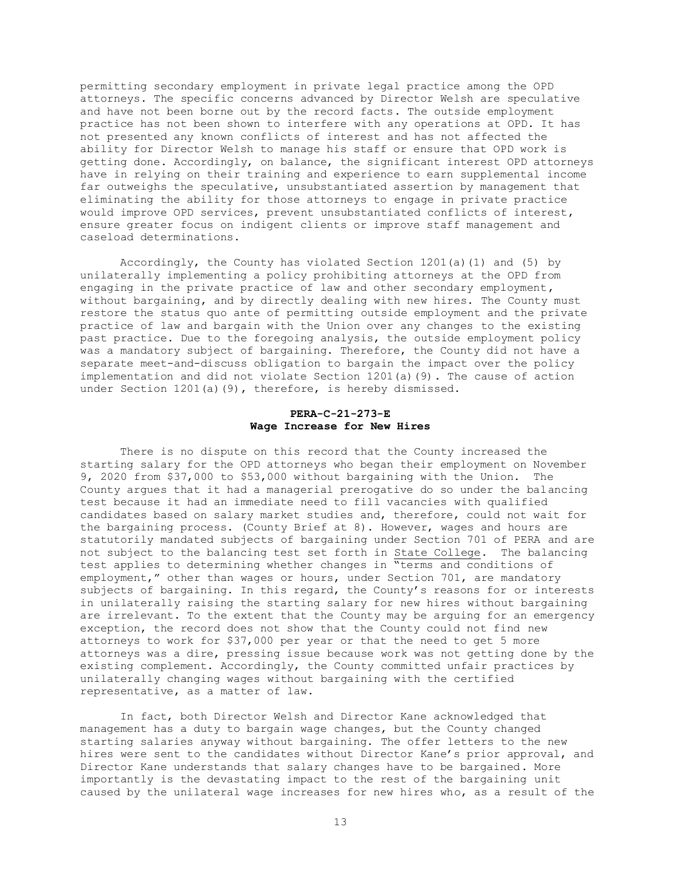permitting secondary employment in private legal practice among the OPD attorneys. The specific concerns advanced by Director Welsh are speculative and have not been borne out by the record facts. The outside employment practice has not been shown to interfere with any operations at OPD. It has not presented any known conflicts of interest and has not affected the ability for Director Welsh to manage his staff or ensure that OPD work is getting done. Accordingly, on balance, the significant interest OPD attorneys have in relying on their training and experience to earn supplemental income far outweighs the speculative, unsubstantiated assertion by management that eliminating the ability for those attorneys to engage in private practice would improve OPD services, prevent unsubstantiated conflicts of interest, ensure greater focus on indigent clients or improve staff management and caseload determinations.

Accordingly, the County has violated Section 1201(a)(1) and (5) by unilaterally implementing a policy prohibiting attorneys at the OPD from engaging in the private practice of law and other secondary employment, without bargaining, and by directly dealing with new hires. The County must restore the status quo ante of permitting outside employment and the private practice of law and bargain with the Union over any changes to the existing past practice. Due to the foregoing analysis, the outside employment policy was a mandatory subject of bargaining. Therefore, the County did not have a separate meet-and-discuss obligation to bargain the impact over the policy implementation and did not violate Section 1201(a)(9). The cause of action under Section 1201(a)(9), therefore, is hereby dismissed.

### **PERA-C-21-273-E Wage Increase for New Hires**

There is no dispute on this record that the County increased the starting salary for the OPD attorneys who began their employment on November 9, 2020 from \$37,000 to \$53,000 without bargaining with the Union. The County argues that it had a managerial prerogative do so under the balancing test because it had an immediate need to fill vacancies with qualified candidates based on salary market studies and, therefore, could not wait for the bargaining process. (County Brief at 8). However, wages and hours are statutorily mandated subjects of bargaining under Section 701 of PERA and are not subject to the balancing test set forth in State College. The balancing test applies to determining whether changes in "terms and conditions of employment," other than wages or hours, under Section 701, are mandatory subjects of bargaining. In this regard, the County's reasons for or interests in unilaterally raising the starting salary for new hires without bargaining are irrelevant. To the extent that the County may be arguing for an emergency exception, the record does not show that the County could not find new attorneys to work for \$37,000 per year or that the need to get 5 more attorneys was a dire, pressing issue because work was not getting done by the existing complement. Accordingly, the County committed unfair practices by unilaterally changing wages without bargaining with the certified representative, as a matter of law.

In fact, both Director Welsh and Director Kane acknowledged that management has a duty to bargain wage changes, but the County changed starting salaries anyway without bargaining. The offer letters to the new hires were sent to the candidates without Director Kane's prior approval, and Director Kane understands that salary changes have to be bargained. More importantly is the devastating impact to the rest of the bargaining unit caused by the unilateral wage increases for new hires who, as a result of the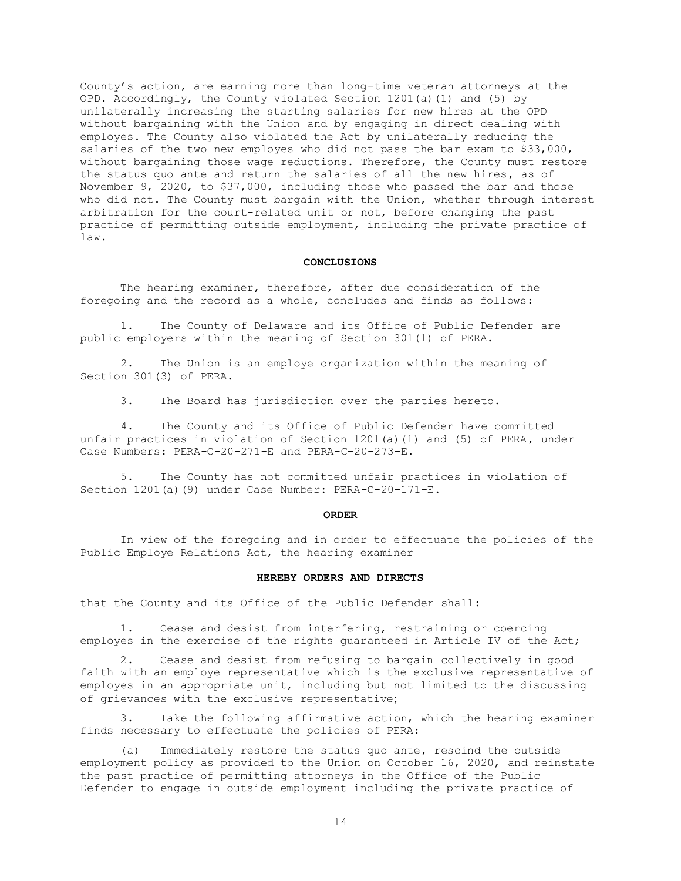County's action, are earning more than long-time veteran attorneys at the OPD. Accordingly, the County violated Section 1201(a)(1) and (5) by unilaterally increasing the starting salaries for new hires at the OPD without bargaining with the Union and by engaging in direct dealing with employes. The County also violated the Act by unilaterally reducing the salaries of the two new employes who did not pass the bar exam to \$33,000, without bargaining those wage reductions. Therefore, the County must restore the status quo ante and return the salaries of all the new hires, as of November 9, 2020, to \$37,000, including those who passed the bar and those who did not. The County must bargain with the Union, whether through interest arbitration for the court-related unit or not, before changing the past practice of permitting outside employment, including the private practice of law.

### **CONCLUSIONS**

The hearing examiner, therefore, after due consideration of the foregoing and the record as a whole, concludes and finds as follows:

 1. The County of Delaware and its Office of Public Defender are public employers within the meaning of Section 301(1) of PERA.

 2. The Union is an employe organization within the meaning of Section 301(3) of PERA.

3. The Board has jurisdiction over the parties hereto.

 4. The County and its Office of Public Defender have committed unfair practices in violation of Section 1201(a)(1) and (5) of PERA, under Case Numbers: PERA-C-20-271-E and PERA-C-20-273-E.

5. The County has not committed unfair practices in violation of Section 1201(a)(9) under Case Number: PERA-C-20-171-E.

#### **ORDER**

In view of the foregoing and in order to effectuate the policies of the Public Employe Relations Act, the hearing examiner

### **HEREBY ORDERS AND DIRECTS**

that the County and its Office of the Public Defender shall:

Cease and desist from interfering, restraining or coercing employes in the exercise of the rights guaranteed in Article IV of the Act;

2. Cease and desist from refusing to bargain collectively in good faith with an employe representative which is the exclusive representative of employes in an appropriate unit, including but not limited to the discussing of grievances with the exclusive representative;

3. Take the following affirmative action, which the hearing examiner finds necessary to effectuate the policies of PERA:

(a) Immediately restore the status quo ante, rescind the outside employment policy as provided to the Union on October 16, 2020, and reinstate the past practice of permitting attorneys in the Office of the Public Defender to engage in outside employment including the private practice of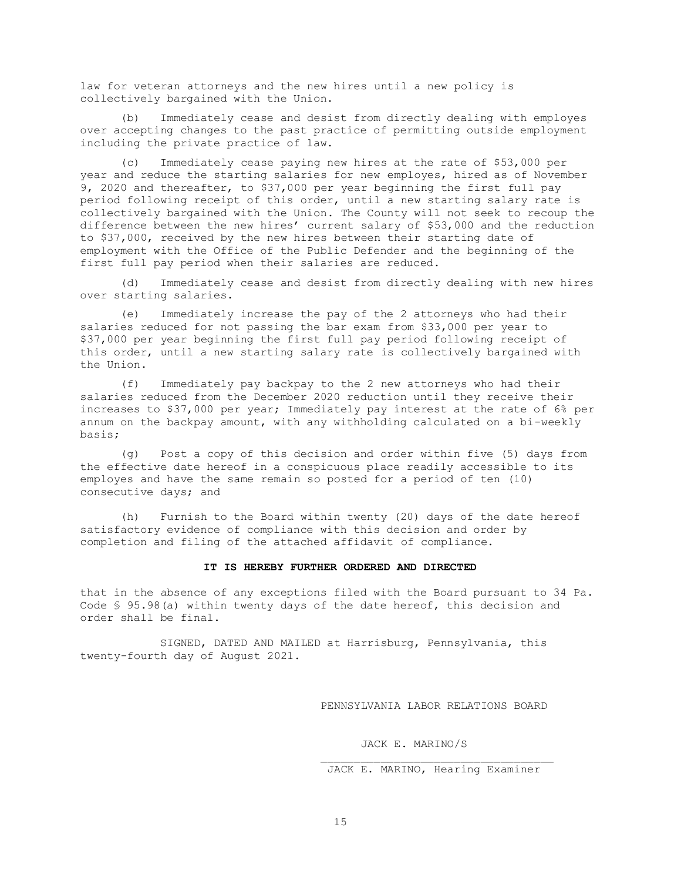law for veteran attorneys and the new hires until a new policy is collectively bargained with the Union.

(b) Immediately cease and desist from directly dealing with employes over accepting changes to the past practice of permitting outside employment including the private practice of law.

(c) Immediately cease paying new hires at the rate of \$53,000 per year and reduce the starting salaries for new employes, hired as of November 9, 2020 and thereafter, to \$37,000 per year beginning the first full pay period following receipt of this order, until a new starting salary rate is collectively bargained with the Union. The County will not seek to recoup the difference between the new hires' current salary of \$53,000 and the reduction to \$37,000, received by the new hires between their starting date of employment with the Office of the Public Defender and the beginning of the first full pay period when their salaries are reduced.

(d) Immediately cease and desist from directly dealing with new hires over starting salaries.

(e) Immediately increase the pay of the 2 attorneys who had their salaries reduced for not passing the bar exam from \$33,000 per year to \$37,000 per year beginning the first full pay period following receipt of this order, until a new starting salary rate is collectively bargained with the Union.

(f) Immediately pay backpay to the 2 new attorneys who had their salaries reduced from the December 2020 reduction until they receive their increases to \$37,000 per year; Immediately pay interest at the rate of 6% per annum on the backpay amount, with any withholding calculated on a bi-weekly basis;

(g) Post a copy of this decision and order within five (5) days from the effective date hereof in a conspicuous place readily accessible to its employes and have the same remain so posted for a period of ten (10) consecutive days; and

(h) Furnish to the Board within twenty (20) days of the date hereof satisfactory evidence of compliance with this decision and order by completion and filing of the attached affidavit of compliance.

#### **IT IS HEREBY FURTHER ORDERED AND DIRECTED**

that in the absence of any exceptions filed with the Board pursuant to 34 Pa. Code § 95.98(a) within twenty days of the date hereof, this decision and order shall be final.

SIGNED, DATED AND MAILED at Harrisburg, Pennsylvania, this twenty-fourth day of August 2021.

PENNSYLVANIA LABOR RELATIONS BOARD

JACK E. MARINO/S

JACK E. MARINO, Hearing Examiner